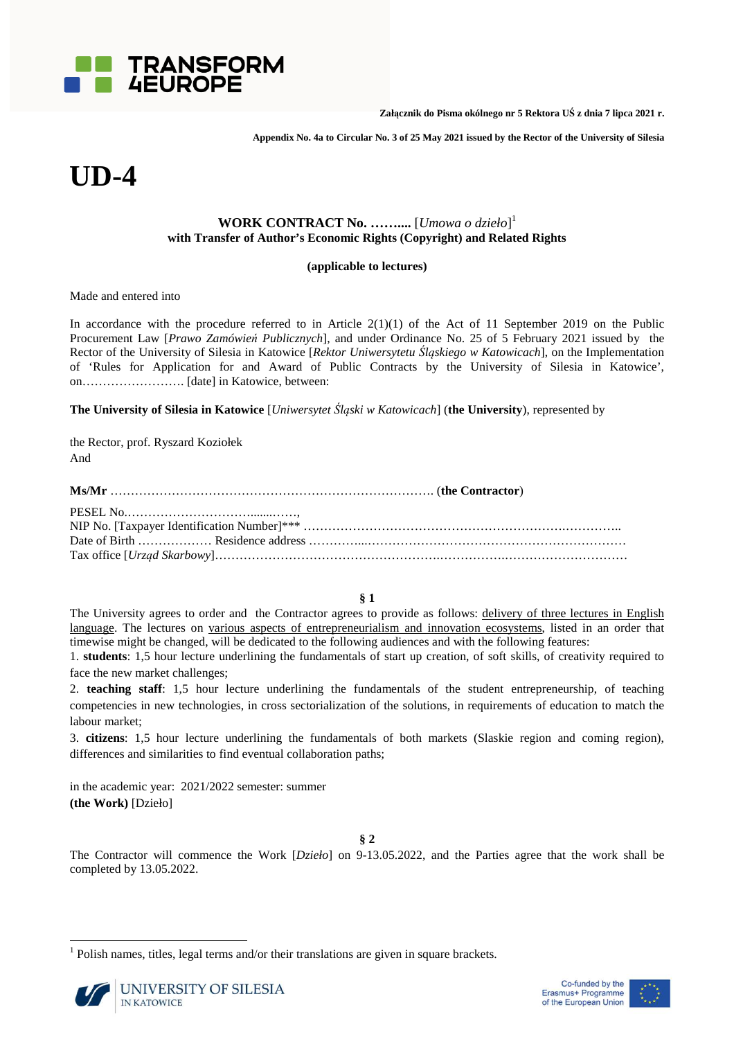

**Załącznik do Pisma okólnego nr 5 Rektora UŚ z dnia 7 lipca 2021 r.** 

**Appendix No. 4a to Circular No. 3 of 25 May 2021 issued by the Rector of the University of Silesia** 

# **UD-4**

# **WORK CONTRACT No. ……....** [*Umowa o dzieło*] 1 **with Transfer of Author's Economic Rights (Copyright) and Related Rights**

# **(applicable to lectures)**

Made and entered into

In accordance with the procedure referred to in Article  $2(1)(1)$  of the Act of 11 September 2019 on the Public Procurement Law [*Prawo Zamówień Publicznych*], and under Ordinance No. 25 of 5 February 2021 issued by the Rector of the University of Silesia in Katowice [*Rektor Uniwersytetu Śląskiego w Katowicach*], on the Implementation of 'Rules for Application for and Award of Public Contracts by the University of Silesia in Katowice', on……………………. [date] in Katowice, between:

**The University of Silesia in Katowice** [*Uniwersytet Śląski w Katowicach*] (**the University**), represented by

the Rector, prof. Ryszard Koziołek And

**§ 1** 

The University agrees to order and the Contractor agrees to provide as follows: delivery of three lectures in English language. The lectures on various aspects of entrepreneurialism and innovation ecosystems, listed in an order that timewise might be changed, will be dedicated to the following audiences and with the following features:

1. **students**: 1,5 hour lecture underlining the fundamentals of start up creation, of soft skills, of creativity required to face the new market challenges;

2. **teaching staff**: 1,5 hour lecture underlining the fundamentals of the student entrepreneurship, of teaching competencies in new technologies, in cross sectorialization of the solutions, in requirements of education to match the labour market;

3. **citizens**: 1,5 hour lecture underlining the fundamentals of both markets (Slaskie region and coming region), differences and similarities to find eventual collaboration paths;

in the academic year: 2021/2022 semester: summer **(the Work)** [Dzieło]

**§ 2** 

The Contractor will commence the Work [*Dzieło*] on 9-13.05.2022, and the Parties agree that the work shall be completed by 13.05.2022.

<sup>1</sup> Polish names, titles, legal terms and/or their translations are given in square brackets.



l

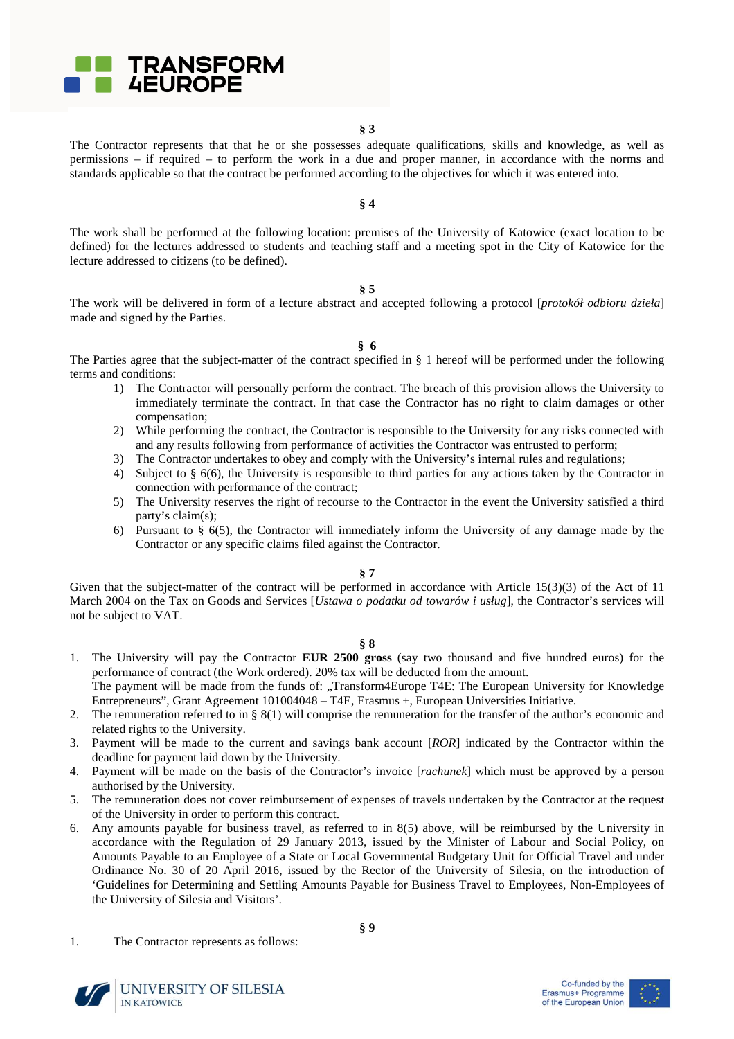

The Contractor represents that that he or she possesses adequate qualifications, skills and knowledge, as well as permissions – if required – to perform the work in a due and proper manner, in accordance with the norms and standards applicable so that the contract be performed according to the objectives for which it was entered into.

**§ 4** 

The work shall be performed at the following location: premises of the University of Katowice (exact location to be defined) for the lectures addressed to students and teaching staff and a meeting spot in the City of Katowice for the lecture addressed to citizens (to be defined).

**§ 5** 

The work will be delivered in form of a lecture abstract and accepted following a protocol [*protokół odbioru dzieła*] made and signed by the Parties.

**§ 6** 

The Parties agree that the subject-matter of the contract specified in § 1 hereof will be performed under the following terms and conditions:

- 1) The Contractor will personally perform the contract. The breach of this provision allows the University to immediately terminate the contract. In that case the Contractor has no right to claim damages or other compensation;
- 2) While performing the contract, the Contractor is responsible to the University for any risks connected with and any results following from performance of activities the Contractor was entrusted to perform;
- 3) The Contractor undertakes to obey and comply with the University's internal rules and regulations;
- 4) Subject to § 6(6), the University is responsible to third parties for any actions taken by the Contractor in connection with performance of the contract;
- 5) The University reserves the right of recourse to the Contractor in the event the University satisfied a third party's claim(s);
- 6) Pursuant to § 6(5), the Contractor will immediately inform the University of any damage made by the Contractor or any specific claims filed against the Contractor.

**§ 7** 

Given that the subject-matter of the contract will be performed in accordance with Article 15(3)(3) of the Act of 11 March 2004 on the Tax on Goods and Services [*Ustawa o podatku od towarów i usług*], the Contractor's services will not be subject to VAT.

#### **§ 8**

- 1. The University will pay the Contractor **EUR 2500 gross** (say two thousand and five hundred euros) for the performance of contract (the Work ordered). 20% tax will be deducted from the amount.
- The payment will be made from the funds of: "Transform4Europe T4E: The European University for Knowledge Entrepreneurs", Grant Agreement 101004048 – T4E, Erasmus +, European Universities Initiative.
- 2. The remuneration referred to in § 8(1) will comprise the remuneration for the transfer of the author's economic and related rights to the University.
- 3. Payment will be made to the current and savings bank account [*ROR*] indicated by the Contractor within the deadline for payment laid down by the University.
- 4. Payment will be made on the basis of the Contractor's invoice [*rachunek*] which must be approved by a person authorised by the University.
- 5. The remuneration does not cover reimbursement of expenses of travels undertaken by the Contractor at the request of the University in order to perform this contract.
- 6. Any amounts payable for business travel, as referred to in 8(5) above, will be reimbursed by the University in accordance with the Regulation of 29 January 2013, issued by the Minister of Labour and Social Policy, on Amounts Payable to an Employee of a State or Local Governmental Budgetary Unit for Official Travel and under Ordinance No. 30 of 20 April 2016, issued by the Rector of the University of Silesia, on the introduction of 'Guidelines for Determining and Settling Amounts Payable for Business Travel to Employees, Non-Employees of the University of Silesia and Visitors'.
- 1. The Contractor represents as follows:



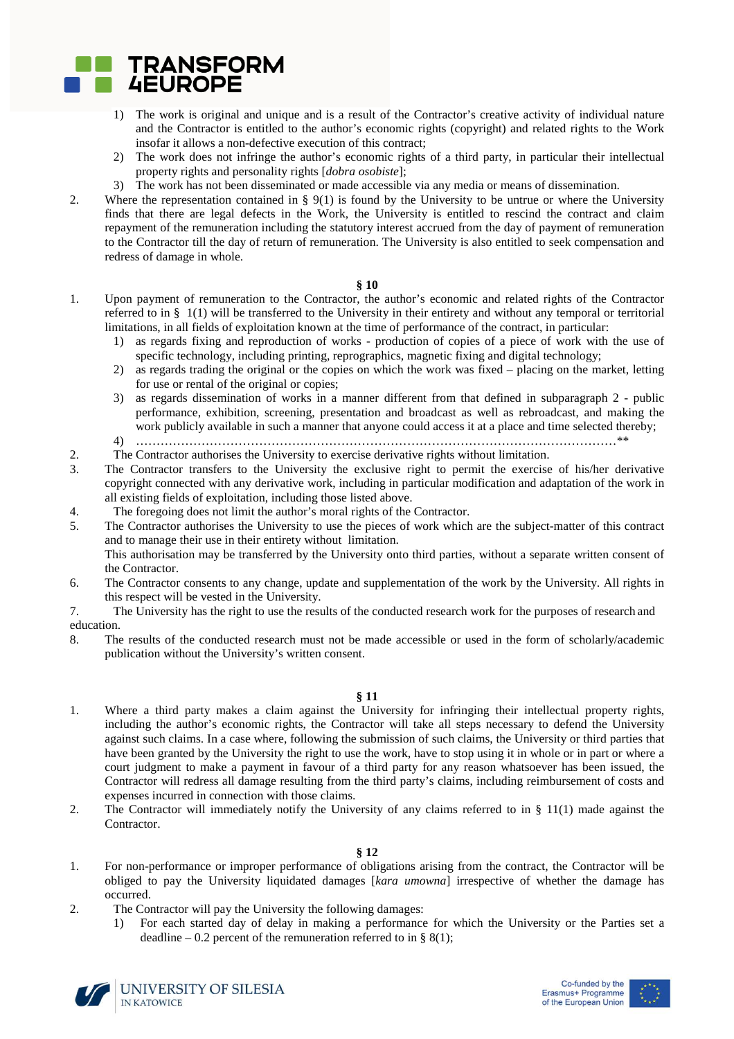

- 1) The work is original and unique and is a result of the Contractor's creative activity of individual nature and the Contractor is entitled to the author's economic rights (copyright) and related rights to the Work insofar it allows a non-defective execution of this contract;
- 2) The work does not infringe the author's economic rights of a third party, in particular their intellectual property rights and personality rights [*dobra osobiste*];
- 3) The work has not been disseminated or made accessible via any media or means of dissemination.
- 2. Where the representation contained in § 9(1) is found by the University to be untrue or where the University finds that there are legal defects in the Work, the University is entitled to rescind the contract and claim repayment of the remuneration including the statutory interest accrued from the day of payment of remuneration to the Contractor till the day of return of remuneration. The University is also entitled to seek compensation and redress of damage in whole.

#### **§ 10**

- 1. Upon payment of remuneration to the Contractor, the author's economic and related rights of the Contractor referred to in § 1(1) will be transferred to the University in their entirety and without any temporal or territorial limitations, in all fields of exploitation known at the time of performance of the contract, in particular:
	- 1) as regards fixing and reproduction of works production of copies of a piece of work with the use of specific technology, including printing, reprographics, magnetic fixing and digital technology;
	- 2) as regards trading the original or the copies on which the work was fixed placing on the market, letting for use or rental of the original or copies;
	- 3) as regards dissemination of works in a manner different from that defined in subparagraph 2 public performance, exhibition, screening, presentation and broadcast as well as rebroadcast, and making the work publicly available in such a manner that anyone could access it at a place and time selected thereby;
	- 4) ………………………………………………………………………………………………………\*\*
- 2. The Contractor authorises the University to exercise derivative rights without limitation.
- 3. The Contractor transfers to the University the exclusive right to permit the exercise of his/her derivative copyright connected with any derivative work, including in particular modification and adaptation of the work in all existing fields of exploitation, including those listed above.
- 4. The foregoing does not limit the author's moral rights of the Contractor.
- 5. The Contractor authorises the University to use the pieces of work which are the subject-matter of this contract and to manage their use in their entirety without limitation.

This authorisation may be transferred by the University onto third parties, without a separate written consent of the Contractor.

- 6. The Contractor consents to any change, update and supplementation of the work by the University. All rights in this respect will be vested in the University.
- 7. The University has the right to use the results of the conducted research work for the purposes of research and education.
- 8. The results of the conducted research must not be made accessible or used in the form of scholarly/academic publication without the University's written consent.

# **§ 11**

- 1. Where a third party makes a claim against the University for infringing their intellectual property rights, including the author's economic rights, the Contractor will take all steps necessary to defend the University against such claims. In a case where, following the submission of such claims, the University or third parties that have been granted by the University the right to use the work, have to stop using it in whole or in part or where a court judgment to make a payment in favour of a third party for any reason whatsoever has been issued, the Contractor will redress all damage resulting from the third party's claims, including reimbursement of costs and expenses incurred in connection with those claims.
- 2. The Contractor will immediately notify the University of any claims referred to in § 11(1) made against the Contractor.

### **§ 12**

- 1. For non-performance or improper performance of obligations arising from the contract, the Contractor will be obliged to pay the University liquidated damages [*kara umowna*] irrespective of whether the damage has occurred.
- 2. The Contractor will pay the University the following damages:
	- 1) For each started day of delay in making a performance for which the University or the Parties set a deadline – 0.2 percent of the remuneration referred to in § 8(1);



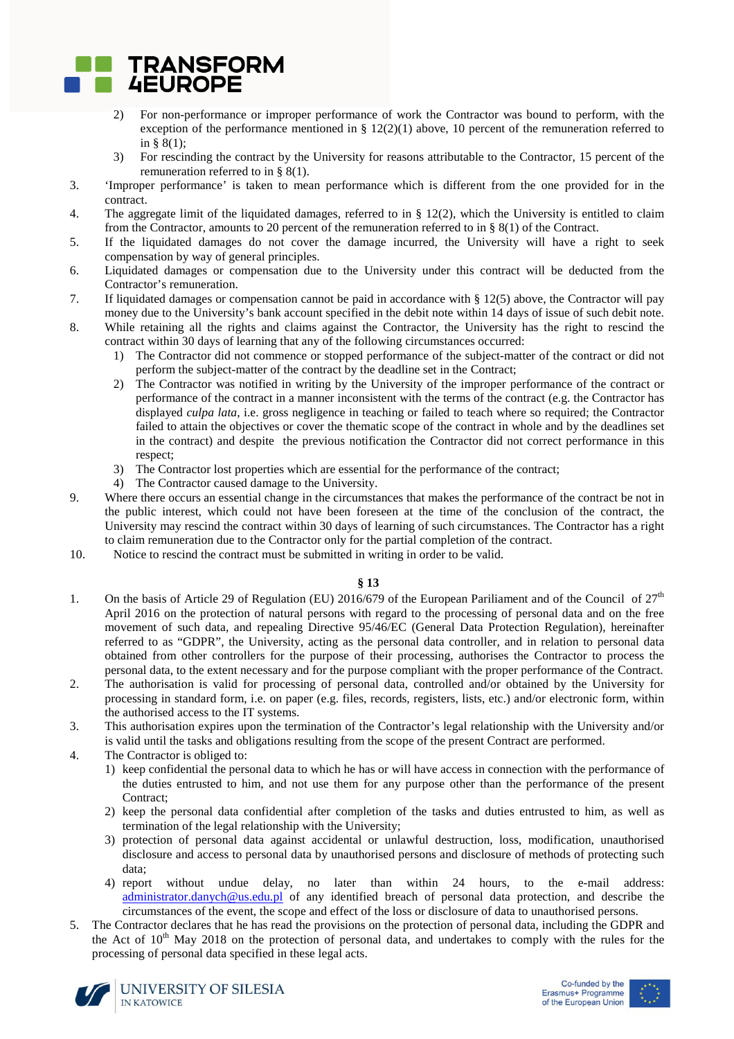

- 2) For non-performance or improper performance of work the Contractor was bound to perform, with the exception of the performance mentioned in §  $12(2)(1)$  above, 10 percent of the remuneration referred to in § 8(1);
- 3) For rescinding the contract by the University for reasons attributable to the Contractor, 15 percent of the remuneration referred to in § 8(1).
- 3. 'Improper performance' is taken to mean performance which is different from the one provided for in the contract.
- 4. The aggregate limit of the liquidated damages, referred to in § 12(2), which the University is entitled to claim from the Contractor, amounts to 20 percent of the remuneration referred to in § 8(1) of the Contract.
- 5. If the liquidated damages do not cover the damage incurred, the University will have a right to seek compensation by way of general principles.
- 6. Liquidated damages or compensation due to the University under this contract will be deducted from the Contractor's remuneration.
- 7. If liquidated damages or compensation cannot be paid in accordance with § 12(5) above, the Contractor will pay money due to the University's bank account specified in the debit note within 14 days of issue of such debit note.
- 8. While retaining all the rights and claims against the Contractor, the University has the right to rescind the contract within 30 days of learning that any of the following circumstances occurred:
	- 1) The Contractor did not commence or stopped performance of the subject-matter of the contract or did not perform the subject-matter of the contract by the deadline set in the Contract;
	- 2) The Contractor was notified in writing by the University of the improper performance of the contract or performance of the contract in a manner inconsistent with the terms of the contract (e.g. the Contractor has displayed *culpa lata*, i.e. gross negligence in teaching or failed to teach where so required; the Contractor failed to attain the objectives or cover the thematic scope of the contract in whole and by the deadlines set in the contract) and despite the previous notification the Contractor did not correct performance in this respect;
	- 3) The Contractor lost properties which are essential for the performance of the contract;
	- 4) The Contractor caused damage to the University.
- 9. Where there occurs an essential change in the circumstances that makes the performance of the contract be not in the public interest, which could not have been foreseen at the time of the conclusion of the contract, the University may rescind the contract within 30 days of learning of such circumstances. The Contractor has a right to claim remuneration due to the Contractor only for the partial completion of the contract.
- 10. Notice to rescind the contract must be submitted in writing in order to be valid.

# **§ 13**

- 1. On the basis of Article 29 of Regulation (EU) 2016/679 of the European Pariliament and of the Council of  $27<sup>th</sup>$ April 2016 on the protection of natural persons with regard to the processing of personal data and on the free movement of such data, and repealing Directive 95/46/EC (General Data Protection Regulation), hereinafter referred to as "GDPR", the University, acting as the personal data controller, and in relation to personal data obtained from other controllers for the purpose of their processing, authorises the Contractor to process the personal data, to the extent necessary and for the purpose compliant with the proper performance of the Contract.
- 2. The authorisation is valid for processing of personal data, controlled and/or obtained by the University for processing in standard form, i.e. on paper (e.g. files, records, registers, lists, etc.) and/or electronic form, within the authorised access to the IT systems.
- 3. This authorisation expires upon the termination of the Contractor's legal relationship with the University and/or is valid until the tasks and obligations resulting from the scope of the present Contract are performed.
- 4. The Contractor is obliged to:
	- 1) keep confidential the personal data to which he has or will have access in connection with the performance of the duties entrusted to him, and not use them for any purpose other than the performance of the present Contract;
	- 2) keep the personal data confidential after completion of the tasks and duties entrusted to him, as well as termination of the legal relationship with the University;
	- 3) protection of personal data against accidental or unlawful destruction, loss, modification, unauthorised disclosure and access to personal data by unauthorised persons and disclosure of methods of protecting such data;
	- 4) report without undue delay, no later than within 24 hours, to the e-mail address: administrator.danych@us.edu.pl of any identified breach of personal data protection, and describe the circumstances of the event, the scope and effect of the loss or disclosure of data to unauthorised persons.
- 5. The Contractor declares that he has read the provisions on the protection of personal data, including the GDPR and the Act of  $10<sup>th</sup>$  May 2018 on the protection of personal data, and undertakes to comply with the rules for the processing of personal data specified in these legal acts.





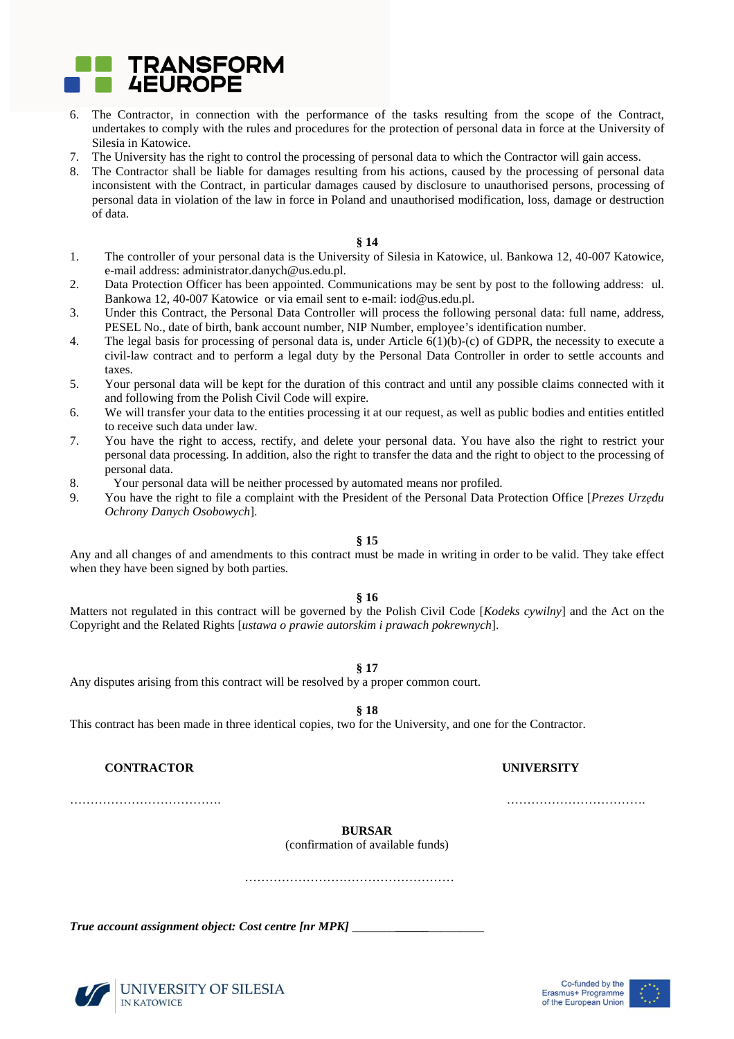

- 6. The Contractor, in connection with the performance of the tasks resulting from the scope of the Contract, undertakes to comply with the rules and procedures for the protection of personal data in force at the University of Silesia in Katowice.
- 7. The University has the right to control the processing of personal data to which the Contractor will gain access.
- 8. The Contractor shall be liable for damages resulting from his actions, caused by the processing of personal data inconsistent with the Contract, in particular damages caused by disclosure to unauthorised persons, processing of personal data in violation of the law in force in Poland and unauthorised modification, loss, damage or destruction of data.

#### **§ 14**

- 1. The controller of your personal data is the University of Silesia in Katowice, ul. Bankowa 12, 40-007 Katowice, e-mail address: administrator.danych@us.edu.pl.
- 2. Data Protection Officer has been appointed. Communications may be sent by post to the following address: ul. Bankowa 12, 40-007 Katowice or via email sent to e-mail: iod@us.edu.pl.
- 3. Under this Contract, the Personal Data Controller will process the following personal data: full name, address, PESEL No., date of birth, bank account number, NIP Number, employee's identification number.
- 4. The legal basis for processing of personal data is, under Article 6(1)(b)-(c) of GDPR, the necessity to execute a civil-law contract and to perform a legal duty by the Personal Data Controller in order to settle accounts and taxes.
- 5. Your personal data will be kept for the duration of this contract and until any possible claims connected with it and following from the Polish Civil Code will expire.
- 6. We will transfer your data to the entities processing it at our request, as well as public bodies and entities entitled to receive such data under law.
- 7. You have the right to access, rectify, and delete your personal data. You have also the right to restrict your personal data processing. In addition, also the right to transfer the data and the right to object to the processing of personal data.
- 8. Your personal data will be neither processed by automated means nor profiled.
- 9. You have the right to file a complaint with the President of the Personal Data Protection Office [*Prezes Urzędu Ochrony Danych Osobowych*].

## **§ 15**

Any and all changes of and amendments to this contract must be made in writing in order to be valid. They take effect when they have been signed by both parties.

#### **§ 16**

Matters not regulated in this contract will be governed by the Polish Civil Code [*Kodeks cywilny*] and the Act on the Copyright and the Related Rights [*ustawa o prawie autorskim i prawach pokrewnych*].

**§ 17** 

Any disputes arising from this contract will be resolved by a proper common court.

**§ 18** 

This contract has been made in three identical copies, two for the University, and one for the Contractor.

# **CONTRACTOR UNIVERSITY**

………………………………. …………………………….

**BURSAR** 

(confirmation of available funds)

……………………………………………

*True account assignment object: Cost centre [nr MPK]* \_\_\_\_\_\_\_**\_\_\_\_\_\_**\_\_\_\_\_\_\_\_\_



UNIVERSITY OF SILESIA **IN KATOWICE**